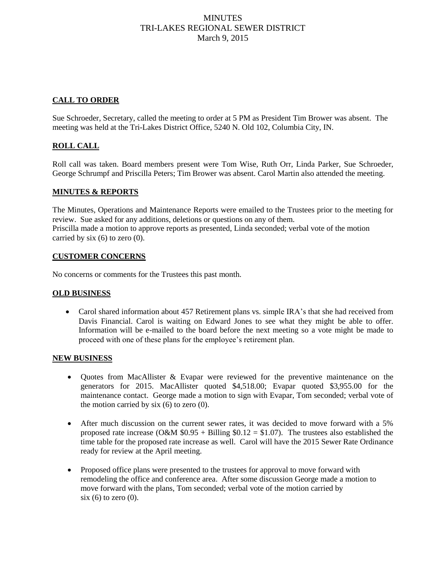# **MINUTES** TRI-LAKES REGIONAL SEWER DISTRICT March 9, 2015

### **CALL TO ORDER**

Sue Schroeder, Secretary, called the meeting to order at 5 PM as President Tim Brower was absent. The meeting was held at the Tri-Lakes District Office, 5240 N. Old 102, Columbia City, IN.

### **ROLL CALL**

Roll call was taken. Board members present were Tom Wise, Ruth Orr, Linda Parker, Sue Schroeder, George Schrumpf and Priscilla Peters; Tim Brower was absent. Carol Martin also attended the meeting.

#### **MINUTES & REPORTS**

The Minutes, Operations and Maintenance Reports were emailed to the Trustees prior to the meeting for review. Sue asked for any additions, deletions or questions on any of them. Priscilla made a motion to approve reports as presented, Linda seconded; verbal vote of the motion carried by six  $(6)$  to zero  $(0)$ .

#### **CUSTOMER CONCERNS**

No concerns or comments for the Trustees this past month.

#### **OLD BUSINESS**

 Carol shared information about 457 Retirement plans vs. simple IRA's that she had received from Davis Financial. Carol is waiting on Edward Jones to see what they might be able to offer. Information will be e-mailed to the board before the next meeting so a vote might be made to proceed with one of these plans for the employee's retirement plan.

#### **NEW BUSINESS**

- Quotes from MacAllister & Evapar were reviewed for the preventive maintenance on the generators for 2015. MacAllister quoted \$4,518.00; Evapar quoted \$3,955.00 for the maintenance contact. George made a motion to sign with Evapar, Tom seconded; verbal vote of the motion carried by  $six(6)$  to zero (0).
- After much discussion on the current sewer rates, it was decided to move forward with a 5% proposed rate increase (O&M  $$0.95 + Billing $0.12 = $1.07$ ). The trustees also established the time table for the proposed rate increase as well. Carol will have the 2015 Sewer Rate Ordinance ready for review at the April meeting.
- Proposed office plans were presented to the trustees for approval to move forward with remodeling the office and conference area. After some discussion George made a motion to move forward with the plans, Tom seconded; verbal vote of the motion carried by  $six(6)$  to zero  $(0)$ .